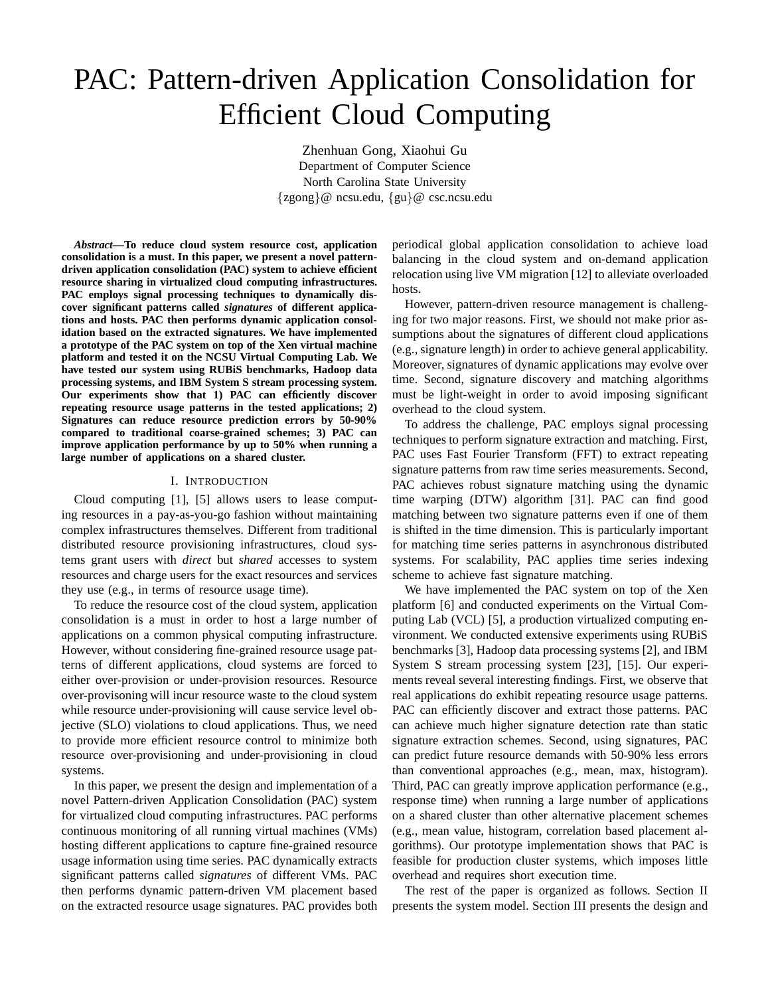# PAC: Pattern-driven Application Consolidation for Efficient Cloud Computing

Zhenhuan Gong, Xiaohui Gu Department of Computer Science North Carolina State University {zgong}@ ncsu.edu, {gu}@ csc.ncsu.edu

*Abstract***—To reduce cloud system resource cost, application consolidation is a must. In this paper, we present a novel patterndriven application consolidation (PAC) system to achieve efficient resource sharing in virtualized cloud computing infrastructures. PAC employs signal processing techniques to dynamically discover significant patterns called** *signatures* **of different applications and hosts. PAC then performs dynamic application consolidation based on the extracted signatures. We have implemented a prototype of the PAC system on top of the Xen virtual machine platform and tested it on the NCSU Virtual Computing Lab. We have tested our system using RUBiS benchmarks, Hadoop data processing systems, and IBM System S stream processing system. Our experiments show that 1) PAC can efficiently discover repeating resource usage patterns in the tested applications; 2) Signatures can reduce resource prediction errors by 50-90% compared to traditional coarse-grained schemes; 3) PAC can improve application performance by up to 50% when running a large number of applications on a shared cluster.**

#### I. INTRODUCTION

Cloud computing [1], [5] allows users to lease computing resources in a pay-as-you-go fashion without maintaining complex infrastructures themselves. Different from traditional distributed resource provisioning infrastructures, cloud systems grant users with *direct* but *shared* accesses to system resources and charge users for the exact resources and services they use (e.g., in terms of resource usage time).

To reduce the resource cost of the cloud system, application consolidation is a must in order to host a large number of applications on a common physical computing infrastructure. However, without considering fine-grained resource usage patterns of different applications, cloud systems are forced to either over-provision or under-provision resources. Resource over-provisoning will incur resource waste to the cloud system while resource under-provisioning will cause service level objective (SLO) violations to cloud applications. Thus, we need to provide more efficient resource control to minimize both resource over-provisioning and under-provisioning in cloud systems.

In this paper, we present the design and implementation of a novel Pattern-driven Application Consolidation (PAC) system for virtualized cloud computing infrastructures. PAC performs continuous monitoring of all running virtual machines (VMs) hosting different applications to capture fine-grained resource usage information using time series. PAC dynamically extracts significant patterns called *signatures* of different VMs. PAC then performs dynamic pattern-driven VM placement based on the extracted resource usage signatures. PAC provides both

periodical global application consolidation to achieve load balancing in the cloud system and on-demand application relocation using live VM migration [12] to alleviate overloaded hosts.

However, pattern-driven resource management is challenging for two major reasons. First, we should not make prior assumptions about the signatures of different cloud applications (e.g., signature length) in order to achieve general applicability. Moreover, signatures of dynamic applications may evolve over time. Second, signature discovery and matching algorithms must be light-weight in order to avoid imposing significant overhead to the cloud system.

To address the challenge, PAC employs signal processing techniques to perform signature extraction and matching. First, PAC uses Fast Fourier Transform (FFT) to extract repeating signature patterns from raw time series measurements. Second, PAC achieves robust signature matching using the dynamic time warping (DTW) algorithm [31]. PAC can find good matching between two signature patterns even if one of them is shifted in the time dimension. This is particularly important for matching time series patterns in asynchronous distributed systems. For scalability, PAC applies time series indexing scheme to achieve fast signature matching.

We have implemented the PAC system on top of the Xen platform [6] and conducted experiments on the Virtual Computing Lab (VCL) [5], a production virtualized computing environment. We conducted extensive experiments using RUBiS benchmarks [3], Hadoop data processing systems [2], and IBM System S stream processing system [23], [15]. Our experiments reveal several interesting findings. First, we observe that real applications do exhibit repeating resource usage patterns. PAC can efficiently discover and extract those patterns. PAC can achieve much higher signature detection rate than static signature extraction schemes. Second, using signatures, PAC can predict future resource demands with 50-90% less errors than conventional approaches (e.g., mean, max, histogram). Third, PAC can greatly improve application performance (e.g., response time) when running a large number of applications on a shared cluster than other alternative placement schemes (e.g., mean value, histogram, correlation based placement algorithms). Our prototype implementation shows that PAC is feasible for production cluster systems, which imposes little overhead and requires short execution time.

The rest of the paper is organized as follows. Section II presents the system model. Section III presents the design and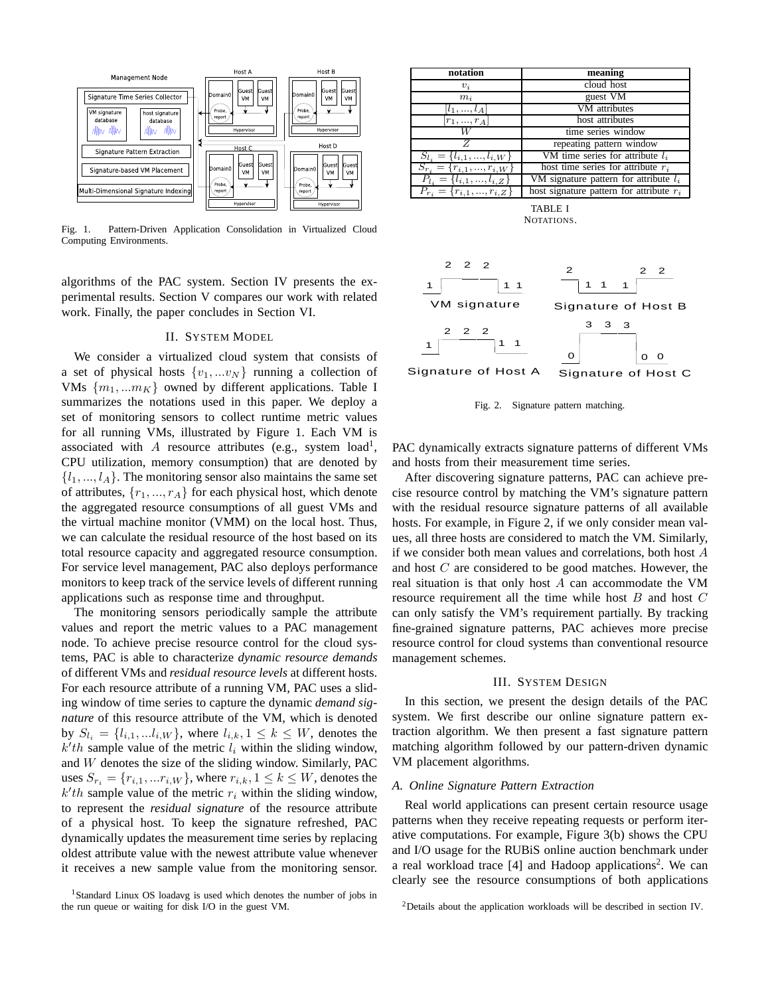

Fig. 1. Pattern-Driven Application Consolidation in Virtualized Cloud Computing Environments.

algorithms of the PAC system. Section IV presents the experimental results. Section V compares our work with related work. Finally, the paper concludes in Section VI.

## II. SYSTEM MODEL

We consider a virtualized cloud system that consists of a set of physical hosts  $\{v_1, \ldots v_N\}$  running a collection of VMs  ${m_1, ... m_K}$  owned by different applications. Table I summarizes the notations used in this paper. We deploy a set of monitoring sensors to collect runtime metric values for all running VMs, illustrated by Figure 1. Each VM is associated with A resource attributes (e.g., system load<sup>1</sup>, CPU utilization, memory consumption) that are denoted by  $\{l_1, ..., l_A\}$ . The monitoring sensor also maintains the same set of attributes,  $\{r_1, ..., r_A\}$  for each physical host, which denote the aggregated resource consumptions of all guest VMs and the virtual machine monitor (VMM) on the local host. Thus, we can calculate the residual resource of the host based on its total resource capacity and aggregated resource consumption. For service level management, PAC also deploys performance monitors to keep track of the service levels of different running applications such as response time and throughput.

The monitoring sensors periodically sample the attribute values and report the metric values to a PAC management node. To achieve precise resource control for the cloud systems, PAC is able to characterize *dynamic resource demands* of different VMs and *residual resource levels* at different hosts. For each resource attribute of a running VM, PAC uses a sliding window of time series to capture the dynamic *demand signature* of this resource attribute of the VM, which is denoted by  $S_{l_i} = \{l_{i,1},...l_{i,W}\}$ , where  $l_{i,k}, 1 \leq k \leq W$ , denotes the  $k'$ th sample value of the metric  $l_i$  within the sliding window, and W denotes the size of the sliding window. Similarly, PAC uses  $S_{r_i} = \{r_{i,1}, \ldots r_{i,W}\}\$ , where  $r_{i,k}, 1 \leq k \leq W$ , denotes the  $k'$ th sample value of the metric  $r_i$  within the sliding window, to represent the *residual signature* of the resource attribute of a physical host. To keep the signature refreshed, PAC dynamically updates the measurement time series by replacing oldest attribute value with the newest attribute value whenever it receives a new sample value from the monitoring sensor.



| notation                          | meaning                                    |  |
|-----------------------------------|--------------------------------------------|--|
| $v_i$                             | cloud host                                 |  |
| $m_i$                             | guest VM                                   |  |
| $l_1, , l_A$                      | VM attributes                              |  |
| $r_1, , r_A$                      | host attributes                            |  |
|                                   | time series window                         |  |
| Z                                 | repeating pattern window                   |  |
| $S_{l_i} = \{l_{i,1},,l_{i,W}\}\$ | VM time series for attribute $l_i$         |  |
| $S_{r_i} = \{r_{i,1},,r_{i,W}\}$  | host time series for attribute $r_i$       |  |
| $P_{l_i} = \{l_{i,1},,l_{i,Z}\}\$ | VM signature pattern for attribute $l_i$   |  |
| $P_{r_i} = \{r_{i,1},,r_{i,Z}\}$  | host signature pattern for attribute $r_i$ |  |

TABLE I NOTATIONS.



Fig. 2. Signature pattern matching.

PAC dynamically extracts signature patterns of different VMs and hosts from their measurement time series.

After discovering signature patterns, PAC can achieve precise resource control by matching the VM's signature pattern with the residual resource signature patterns of all available hosts. For example, in Figure 2, if we only consider mean values, all three hosts are considered to match the VM. Similarly, if we consider both mean values and correlations, both host  $A$ and host C are considered to be good matches. However, the real situation is that only host A can accommodate the VM resource requirement all the time while host  $B$  and host  $C$ can only satisfy the VM's requirement partially. By tracking fine-grained signature patterns, PAC achieves more precise resource control for cloud systems than conventional resource management schemes.

#### III. SYSTEM DESIGN

In this section, we present the design details of the PAC system. We first describe our online signature pattern extraction algorithm. We then present a fast signature pattern matching algorithm followed by our pattern-driven dynamic VM placement algorithms.

#### *A. Online Signature Pattern Extraction*

Real world applications can present certain resource usage patterns when they receive repeating requests or perform iterative computations. For example, Figure 3(b) shows the CPU and I/O usage for the RUBiS online auction benchmark under a real workload trace [4] and Hadoop applications<sup>2</sup>. We can clearly see the resource consumptions of both applications

<sup>2</sup>Details about the application workloads will be described in section IV.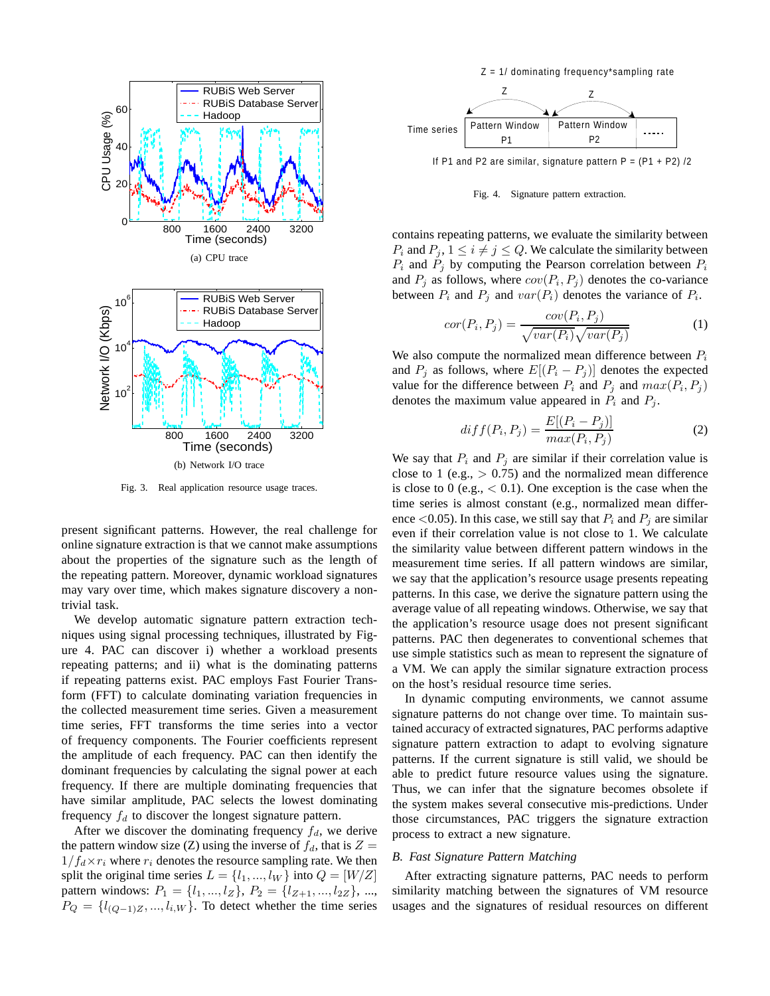

Fig. 3. Real application resource usage traces.

present significant patterns. However, the real challenge for online signature extraction is that we cannot make assumptions about the properties of the signature such as the length of the repeating pattern. Moreover, dynamic workload signatures may vary over time, which makes signature discovery a nontrivial task.

We develop automatic signature pattern extraction techniques using signal processing techniques, illustrated by Figure 4. PAC can discover i) whether a workload presents repeating patterns; and ii) what is the dominating patterns if repeating patterns exist. PAC employs Fast Fourier Transform (FFT) to calculate dominating variation frequencies in the collected measurement time series. Given a measurement time series, FFT transforms the time series into a vector of frequency components. The Fourier coefficients represent the amplitude of each frequency. PAC can then identify the dominant frequencies by calculating the signal power at each frequency. If there are multiple dominating frequencies that have similar amplitude, PAC selects the lowest dominating frequency  $f_d$  to discover the longest signature pattern.

After we discover the dominating frequency  $f_d$ , we derive the pattern window size (Z) using the inverse of  $f_d$ , that is  $Z =$  $1/f_d \times r_i$  where  $r_i$  denotes the resource sampling rate. We then split the original time series  $L = \{l_1, ..., l_W\}$  into  $Q = [W/Z]$ pattern windows:  $P_1 = \{l_1, ..., l_Z\}, P_2 = \{l_{Z+1}, ..., l_{2Z}\}, ...$  $P_Q = \{l_{(Q-1)Z},...,l_{i,W}\}\.$  To detect whether the time series  $Z = 1/$  dominating frequency\*sampling rate



Fig. 4. Signature pattern extraction.

contains repeating patterns, we evaluate the similarity between  $P_i$  and  $P_i$ ,  $1 \leq i \neq j \leq Q$ . We calculate the similarity between  $P_i$  and  $P_j$  by computing the Pearson correlation between  $P_i$ and  $P_j$  as follows, where  $cov(P_i, P_j)$  denotes the co-variance between  $P_i$  and  $P_j$  and  $var(P_i)$  denotes the variance of  $P_i$ .

$$
cor(P_i, P_j) = \frac{cov(P_i, P_j)}{\sqrt{var(P_i)}\sqrt{var(P_j)}}
$$
(1)

We also compute the normalized mean difference between  $P_i$ and  $P_i$  as follows, where  $E[(P_i - P_j)]$  denotes the expected value for the difference between  $P_i$  and  $P_j$  and  $max(P_i, P_j)$ denotes the maximum value appeared in  $P_i$  and  $P_j$ .

$$
diff(P_i, P_j) = \frac{E[(P_i - P_j)]}{max(P_i, P_j)}
$$
\n(2)

We say that  $P_i$  and  $P_j$  are similar if their correlation value is close to 1 (e.g.,  $> 0.75$ ) and the normalized mean difference is close to 0 (e.g.,  $< 0.1$ ). One exception is the case when the time series is almost constant (e.g., normalized mean difference  $\langle 0.05 \rangle$ . In this case, we still say that  $P_i$  and  $P_j$  are similar even if their correlation value is not close to 1. We calculate the similarity value between different pattern windows in the measurement time series. If all pattern windows are similar, we say that the application's resource usage presents repeating patterns. In this case, we derive the signature pattern using the average value of all repeating windows. Otherwise, we say that the application's resource usage does not present significant patterns. PAC then degenerates to conventional schemes that use simple statistics such as mean to represent the signature of a VM. We can apply the similar signature extraction process on the host's residual resource time series.

In dynamic computing environments, we cannot assume signature patterns do not change over time. To maintain sustained accuracy of extracted signatures, PAC performs adaptive signature pattern extraction to adapt to evolving signature patterns. If the current signature is still valid, we should be able to predict future resource values using the signature. Thus, we can infer that the signature becomes obsolete if the system makes several consecutive mis-predictions. Under those circumstances, PAC triggers the signature extraction process to extract a new signature.

## *B. Fast Signature Pattern Matching*

After extracting signature patterns, PAC needs to perform similarity matching between the signatures of VM resource usages and the signatures of residual resources on different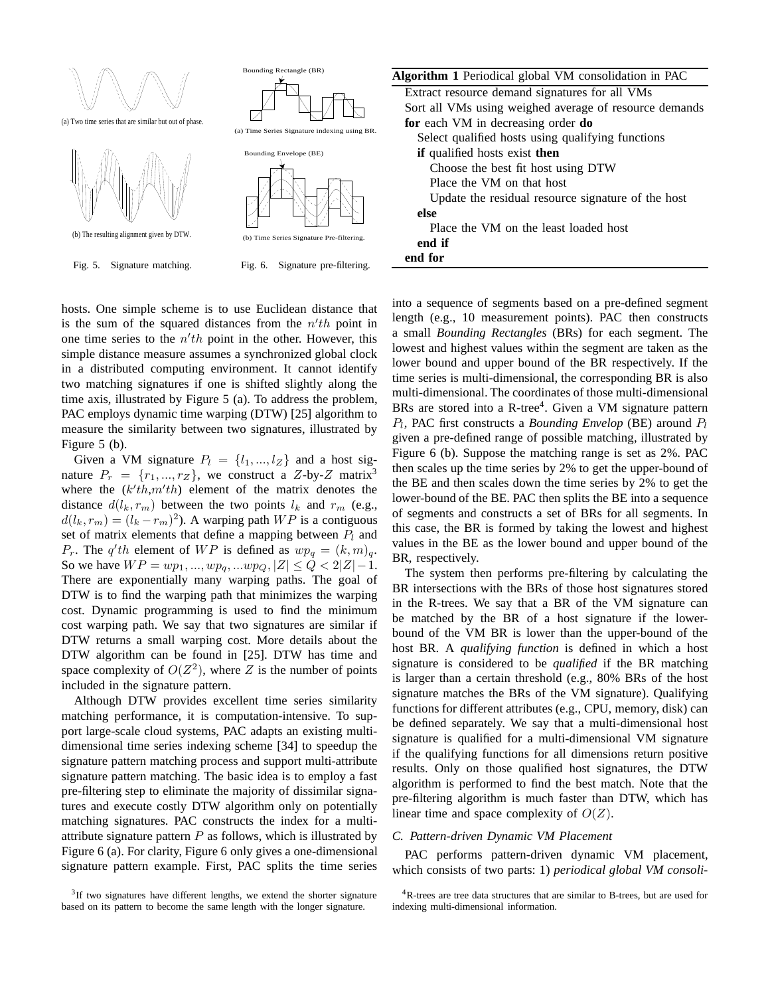

hosts. One simple scheme is to use Euclidean distance that is the sum of the squared distances from the  $n'th$  point in one time series to the  $n'th$  point in the other. However, this simple distance measure assumes a synchronized global clock in a distributed computing environment. It cannot identify two matching signatures if one is shifted slightly along the time axis, illustrated by Figure 5 (a). To address the problem, PAC employs dynamic time warping (DTW) [25] algorithm to measure the similarity between two signatures, illustrated by Figure 5 (b).

Given a VM signature  $P_l = \{l_1, ..., l_Z\}$  and a host signature  $P_r = \{r_1, ..., r_Z\}$ , we construct a Z-by-Z matrix<sup>3</sup> where the  $(k'th,m'th)$  element of the matrix denotes the distance  $d(l_k, r_m)$  between the two points  $l_k$  and  $r_m$  (e.g.,  $d(l_k, r_m) = (l_k - r_m)^2$ ). A warping path  $WP$  is a contiguous set of matrix elements that define a mapping between  $P_l$  and  $P_r$ . The q'th element of WP is defined as  $wp_q = (k, m)_q$ . So we have  $WP = wp_1, ..., wp_q, ...wp_Q, |Z| \le Q < 2|Z|-1$ . There are exponentially many warping paths. The goal of DTW is to find the warping path that minimizes the warping cost. Dynamic programming is used to find the minimum cost warping path. We say that two signatures are similar if DTW returns a small warping cost. More details about the DTW algorithm can be found in [25]. DTW has time and space complexity of  $O(Z^2)$ , where Z is the number of points included in the signature pattern.

Although DTW provides excellent time series similarity matching performance, it is computation-intensive. To support large-scale cloud systems, PAC adapts an existing multidimensional time series indexing scheme [34] to speedup the signature pattern matching process and support multi-attribute signature pattern matching. The basic idea is to employ a fast pre-filtering step to eliminate the majority of dissimilar signatures and execute costly DTW algorithm only on potentially matching signatures. PAC constructs the index for a multiattribute signature pattern  $P$  as follows, which is illustrated by Figure 6 (a). For clarity, Figure 6 only gives a one-dimensional signature pattern example. First, PAC splits the time series

<sup>3</sup>If two signatures have different lengths, we extend the shorter signature based on its pattern to become the same length with the longer signature.

into a sequence of segments based on a pre-defined segment length (e.g., 10 measurement points). PAC then constructs a small *Bounding Rectangles* (BRs) for each segment. The lowest and highest values within the segment are taken as the lower bound and upper bound of the BR respectively. If the time series is multi-dimensional, the corresponding BR is also multi-dimensional. The coordinates of those multi-dimensional BRs are stored into a R-tree<sup>4</sup>. Given a VM signature pattern P<sub>l</sub>, PAC first constructs a *Bounding Envelop* (BE) around Pl given a pre-defined range of possible matching, illustrated by Figure 6 (b). Suppose the matching range is set as 2%. PAC then scales up the time series by 2% to get the upper-bound of the BE and then scales down the time series by 2% to get the lower-bound of the BE. PAC then splits the BE into a sequence of segments and constructs a set of BRs for all segments. In this case, the BR is formed by taking the lowest and highest values in the BE as the lower bound and upper bound of the BR, respectively.

The system then performs pre-filtering by calculating the BR intersections with the BRs of those host signatures stored in the R-trees. We say that a BR of the VM signature can be matched by the BR of a host signature if the lowerbound of the VM BR is lower than the upper-bound of the host BR. A *qualifying function* is defined in which a host signature is considered to be *qualified* if the BR matching is larger than a certain threshold (e.g., 80% BRs of the host signature matches the BRs of the VM signature). Qualifying functions for different attributes (e.g., CPU, memory, disk) can be defined separately. We say that a multi-dimensional host signature is qualified for a multi-dimensional VM signature if the qualifying functions for all dimensions return positive results. Only on those qualified host signatures, the DTW algorithm is performed to find the best match. Note that the pre-filtering algorithm is much faster than DTW, which has linear time and space complexity of  $O(Z)$ .

## *C. Pattern-driven Dynamic VM Placement*

PAC performs pattern-driven dynamic VM placement, which consists of two parts: 1) *periodical global VM consoli-*

<sup>&</sup>lt;sup>4</sup>R-trees are tree data structures that are similar to B-trees, but are used for indexing multi-dimensional information.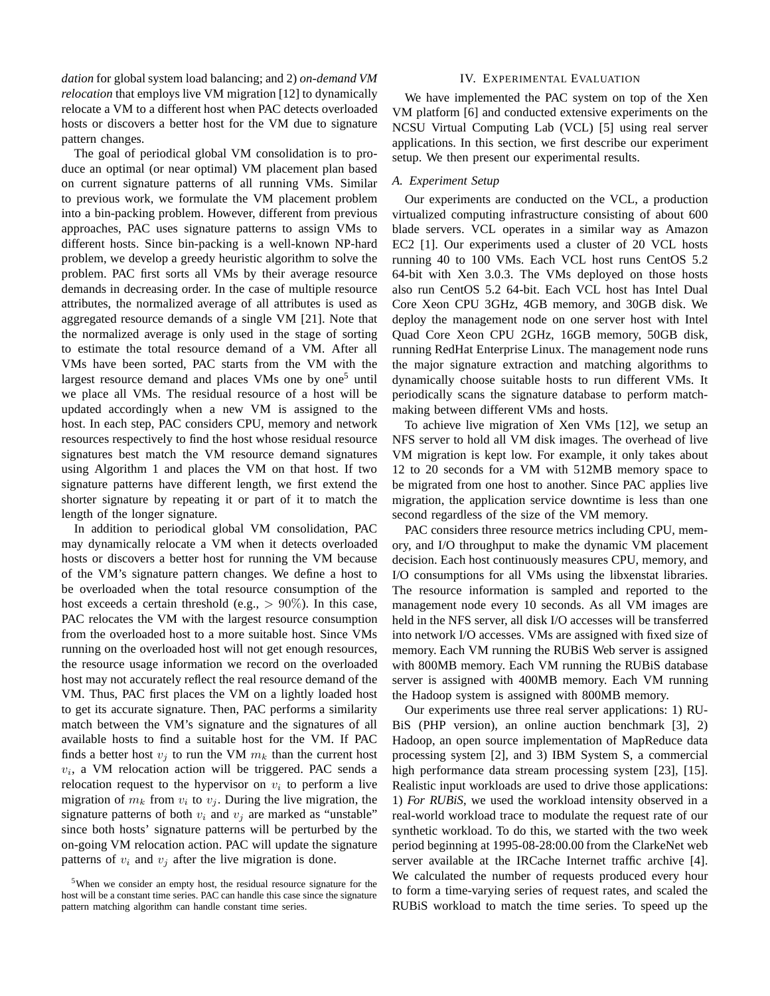*dation* for global system load balancing; and 2) *on-demand VM relocation* that employs live VM migration [12] to dynamically relocate a VM to a different host when PAC detects overloaded hosts or discovers a better host for the VM due to signature pattern changes.

The goal of periodical global VM consolidation is to produce an optimal (or near optimal) VM placement plan based on current signature patterns of all running VMs. Similar to previous work, we formulate the VM placement problem into a bin-packing problem. However, different from previous approaches, PAC uses signature patterns to assign VMs to different hosts. Since bin-packing is a well-known NP-hard problem, we develop a greedy heuristic algorithm to solve the problem. PAC first sorts all VMs by their average resource demands in decreasing order. In the case of multiple resource attributes, the normalized average of all attributes is used as aggregated resource demands of a single VM [21]. Note that the normalized average is only used in the stage of sorting to estimate the total resource demand of a VM. After all VMs have been sorted, PAC starts from the VM with the largest resource demand and places VMs one by one<sup>5</sup> until we place all VMs. The residual resource of a host will be updated accordingly when a new VM is assigned to the host. In each step, PAC considers CPU, memory and network resources respectively to find the host whose residual resource signatures best match the VM resource demand signatures using Algorithm 1 and places the VM on that host. If two signature patterns have different length, we first extend the shorter signature by repeating it or part of it to match the length of the longer signature.

In addition to periodical global VM consolidation, PAC may dynamically relocate a VM when it detects overloaded hosts or discovers a better host for running the VM because of the VM's signature pattern changes. We define a host to be overloaded when the total resource consumption of the host exceeds a certain threshold (e.g.,  $> 90\%$ ). In this case, PAC relocates the VM with the largest resource consumption from the overloaded host to a more suitable host. Since VMs running on the overloaded host will not get enough resources, the resource usage information we record on the overloaded host may not accurately reflect the real resource demand of the VM. Thus, PAC first places the VM on a lightly loaded host to get its accurate signature. Then, PAC performs a similarity match between the VM's signature and the signatures of all available hosts to find a suitable host for the VM. If PAC finds a better host  $v_i$  to run the VM  $m_k$  than the current host  $v_i$ , a VM relocation action will be triggered. PAC sends a relocation request to the hypervisor on  $v_i$  to perform a live migration of  $m_k$  from  $v_i$  to  $v_j$ . During the live migration, the signature patterns of both  $v_i$  and  $v_j$  are marked as "unstable" since both hosts' signature patterns will be perturbed by the on-going VM relocation action. PAC will update the signature patterns of  $v_i$  and  $v_j$  after the live migration is done.

#### IV. EXPERIMENTAL EVALUATION

We have implemented the PAC system on top of the Xen VM platform [6] and conducted extensive experiments on the NCSU Virtual Computing Lab (VCL) [5] using real server applications. In this section, we first describe our experiment setup. We then present our experimental results.

### *A. Experiment Setup*

Our experiments are conducted on the VCL, a production virtualized computing infrastructure consisting of about 600 blade servers. VCL operates in a similar way as Amazon EC2 [1]. Our experiments used a cluster of 20 VCL hosts running 40 to 100 VMs. Each VCL host runs CentOS 5.2 64-bit with Xen 3.0.3. The VMs deployed on those hosts also run CentOS 5.2 64-bit. Each VCL host has Intel Dual Core Xeon CPU 3GHz, 4GB memory, and 30GB disk. We deploy the management node on one server host with Intel Quad Core Xeon CPU 2GHz, 16GB memory, 50GB disk, running RedHat Enterprise Linux. The management node runs the major signature extraction and matching algorithms to dynamically choose suitable hosts to run different VMs. It periodically scans the signature database to perform matchmaking between different VMs and hosts.

To achieve live migration of Xen VMs [12], we setup an NFS server to hold all VM disk images. The overhead of live VM migration is kept low. For example, it only takes about 12 to 20 seconds for a VM with 512MB memory space to be migrated from one host to another. Since PAC applies live migration, the application service downtime is less than one second regardless of the size of the VM memory.

PAC considers three resource metrics including CPU, memory, and I/O throughput to make the dynamic VM placement decision. Each host continuously measures CPU, memory, and I/O consumptions for all VMs using the libxenstat libraries. The resource information is sampled and reported to the management node every 10 seconds. As all VM images are held in the NFS server, all disk I/O accesses will be transferred into network I/O accesses. VMs are assigned with fixed size of memory. Each VM running the RUBiS Web server is assigned with 800MB memory. Each VM running the RUBiS database server is assigned with 400MB memory. Each VM running the Hadoop system is assigned with 800MB memory.

Our experiments use three real server applications: 1) RU-BiS (PHP version), an online auction benchmark [3], 2) Hadoop, an open source implementation of MapReduce data processing system [2], and 3) IBM System S, a commercial high performance data stream processing system [23], [15]. Realistic input workloads are used to drive those applications: 1) *For RUBiS*, we used the workload intensity observed in a real-world workload trace to modulate the request rate of our synthetic workload. To do this, we started with the two week period beginning at 1995-08-28:00.00 from the ClarkeNet web server available at the IRCache Internet traffic archive [4]. We calculated the number of requests produced every hour to form a time-varying series of request rates, and scaled the RUBiS workload to match the time series. To speed up the

<sup>5</sup>When we consider an empty host, the residual resource signature for the host will be a constant time series. PAC can handle this case since the signature pattern matching algorithm can handle constant time series.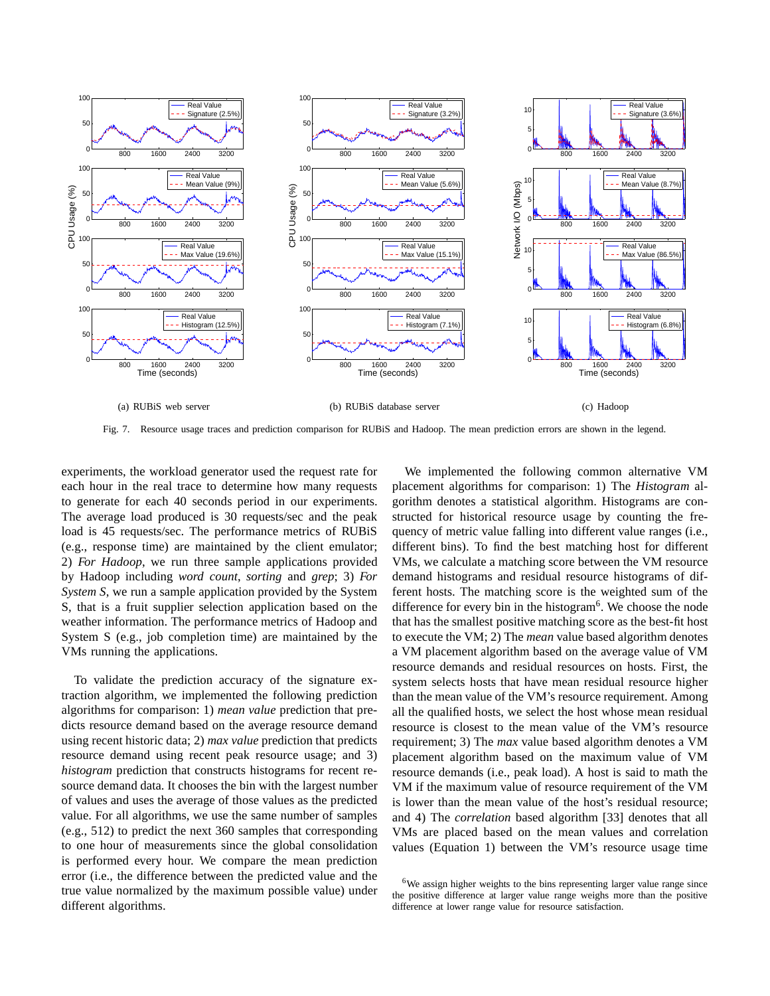

Fig. 7. Resource usage traces and prediction comparison for RUBiS and Hadoop. The mean prediction errors are shown in the legend.

experiments, the workload generator used the request rate for each hour in the real trace to determine how many requests to generate for each 40 seconds period in our experiments. The average load produced is 30 requests/sec and the peak load is 45 requests/sec. The performance metrics of RUBiS (e.g., response time) are maintained by the client emulator; 2) *For Hadoop*, we run three sample applications provided by Hadoop including *word count*, *sorting* and *grep*; 3) *For System S*, we run a sample application provided by the System S, that is a fruit supplier selection application based on the weather information. The performance metrics of Hadoop and System S (e.g., job completion time) are maintained by the VMs running the applications.

To validate the prediction accuracy of the signature extraction algorithm, we implemented the following prediction algorithms for comparison: 1) *mean value* prediction that predicts resource demand based on the average resource demand using recent historic data; 2) *max value* prediction that predicts resource demand using recent peak resource usage; and 3) *histogram* prediction that constructs histograms for recent resource demand data. It chooses the bin with the largest number of values and uses the average of those values as the predicted value. For all algorithms, we use the same number of samples (e.g., 512) to predict the next 360 samples that corresponding to one hour of measurements since the global consolidation is performed every hour. We compare the mean prediction error (i.e., the difference between the predicted value and the true value normalized by the maximum possible value) under different algorithms.

We implemented the following common alternative VM placement algorithms for comparison: 1) The *Histogram* algorithm denotes a statistical algorithm. Histograms are constructed for historical resource usage by counting the frequency of metric value falling into different value ranges (i.e., different bins). To find the best matching host for different VMs, we calculate a matching score between the VM resource demand histograms and residual resource histograms of different hosts. The matching score is the weighted sum of the difference for every bin in the histogram<sup>6</sup>. We choose the node that has the smallest positive matching score as the best-fit host to execute the VM; 2) The *mean* value based algorithm denotes a VM placement algorithm based on the average value of VM resource demands and residual resources on hosts. First, the system selects hosts that have mean residual resource higher than the mean value of the VM's resource requirement. Among all the qualified hosts, we select the host whose mean residual resource is closest to the mean value of the VM's resource requirement; 3) The *max* value based algorithm denotes a VM placement algorithm based on the maximum value of VM resource demands (i.e., peak load). A host is said to math the VM if the maximum value of resource requirement of the VM is lower than the mean value of the host's residual resource; and 4) The *correlation* based algorithm [33] denotes that all VMs are placed based on the mean values and correlation values (Equation 1) between the VM's resource usage time

 $6$ We assign higher weights to the bins representing larger value range since the positive difference at larger value range weighs more than the positive difference at lower range value for resource satisfaction.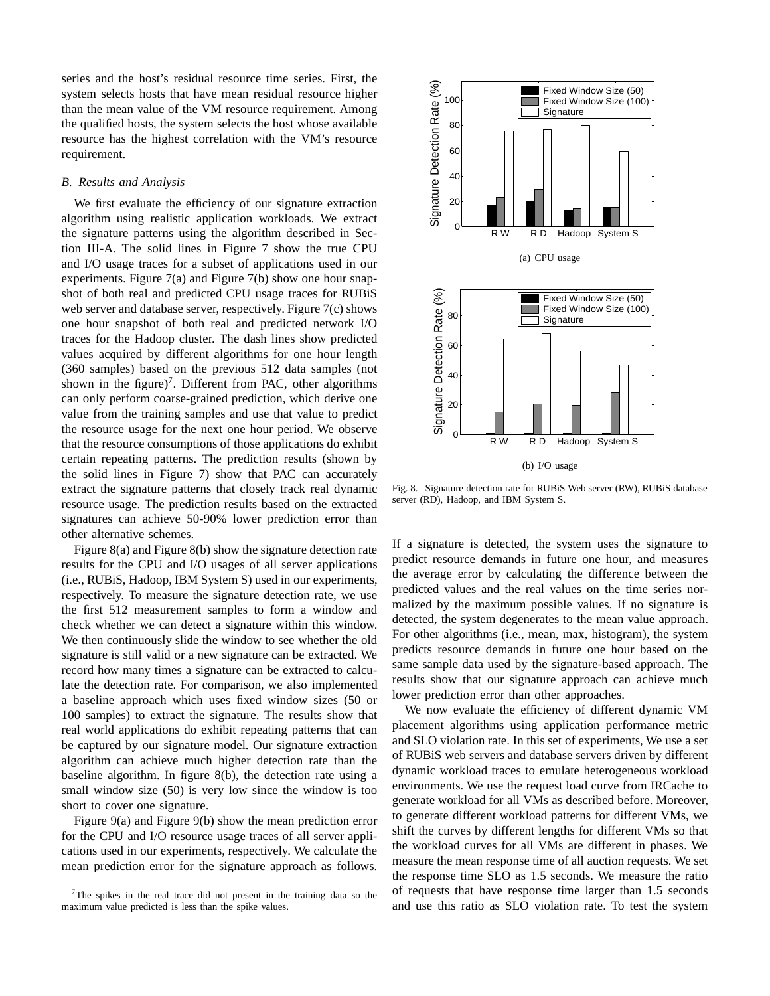series and the host's residual resource time series. First, the system selects hosts that have mean residual resource higher than the mean value of the VM resource requirement. Among the qualified hosts, the system selects the host whose available resource has the highest correlation with the VM's resource requirement.

## *B. Results and Analysis*

We first evaluate the efficiency of our signature extraction algorithm using realistic application workloads. We extract the signature patterns using the algorithm described in Section III-A. The solid lines in Figure 7 show the true CPU and I/O usage traces for a subset of applications used in our experiments. Figure 7(a) and Figure 7(b) show one hour snapshot of both real and predicted CPU usage traces for RUBiS web server and database server, respectively. Figure 7(c) shows one hour snapshot of both real and predicted network I/O traces for the Hadoop cluster. The dash lines show predicted values acquired by different algorithms for one hour length (360 samples) based on the previous 512 data samples (not shown in the figure)<sup>7</sup>. Different from PAC, other algorithms can only perform coarse-grained prediction, which derive one value from the training samples and use that value to predict the resource usage for the next one hour period. We observe that the resource consumptions of those applications do exhibit certain repeating patterns. The prediction results (shown by the solid lines in Figure 7) show that PAC can accurately extract the signature patterns that closely track real dynamic resource usage. The prediction results based on the extracted signatures can achieve 50-90% lower prediction error than other alternative schemes.

Figure 8(a) and Figure 8(b) show the signature detection rate results for the CPU and I/O usages of all server applications (i.e., RUBiS, Hadoop, IBM System S) used in our experiments, respectively. To measure the signature detection rate, we use the first 512 measurement samples to form a window and check whether we can detect a signature within this window. We then continuously slide the window to see whether the old signature is still valid or a new signature can be extracted. We record how many times a signature can be extracted to calculate the detection rate. For comparison, we also implemented a baseline approach which uses fixed window sizes (50 or 100 samples) to extract the signature. The results show that real world applications do exhibit repeating patterns that can be captured by our signature model. Our signature extraction algorithm can achieve much higher detection rate than the baseline algorithm. In figure 8(b), the detection rate using a small window size (50) is very low since the window is too short to cover one signature.

Figure 9(a) and Figure 9(b) show the mean prediction error for the CPU and I/O resource usage traces of all server applications used in our experiments, respectively. We calculate the mean prediction error for the signature approach as follows.



Fig. 8. Signature detection rate for RUBiS Web server (RW), RUBiS database server (RD), Hadoop, and IBM System S.

If a signature is detected, the system uses the signature to predict resource demands in future one hour, and measures the average error by calculating the difference between the predicted values and the real values on the time series normalized by the maximum possible values. If no signature is detected, the system degenerates to the mean value approach. For other algorithms (i.e., mean, max, histogram), the system predicts resource demands in future one hour based on the same sample data used by the signature-based approach. The results show that our signature approach can achieve much lower prediction error than other approaches.

We now evaluate the efficiency of different dynamic VM placement algorithms using application performance metric and SLO violation rate. In this set of experiments, We use a set of RUBiS web servers and database servers driven by different dynamic workload traces to emulate heterogeneous workload environments. We use the request load curve from IRCache to generate workload for all VMs as described before. Moreover, to generate different workload patterns for different VMs, we shift the curves by different lengths for different VMs so that the workload curves for all VMs are different in phases. We measure the mean response time of all auction requests. We set the response time SLO as 1.5 seconds. We measure the ratio of requests that have response time larger than 1.5 seconds and use this ratio as SLO violation rate. To test the system

<sup>7</sup>The spikes in the real trace did not present in the training data so the maximum value predicted is less than the spike values.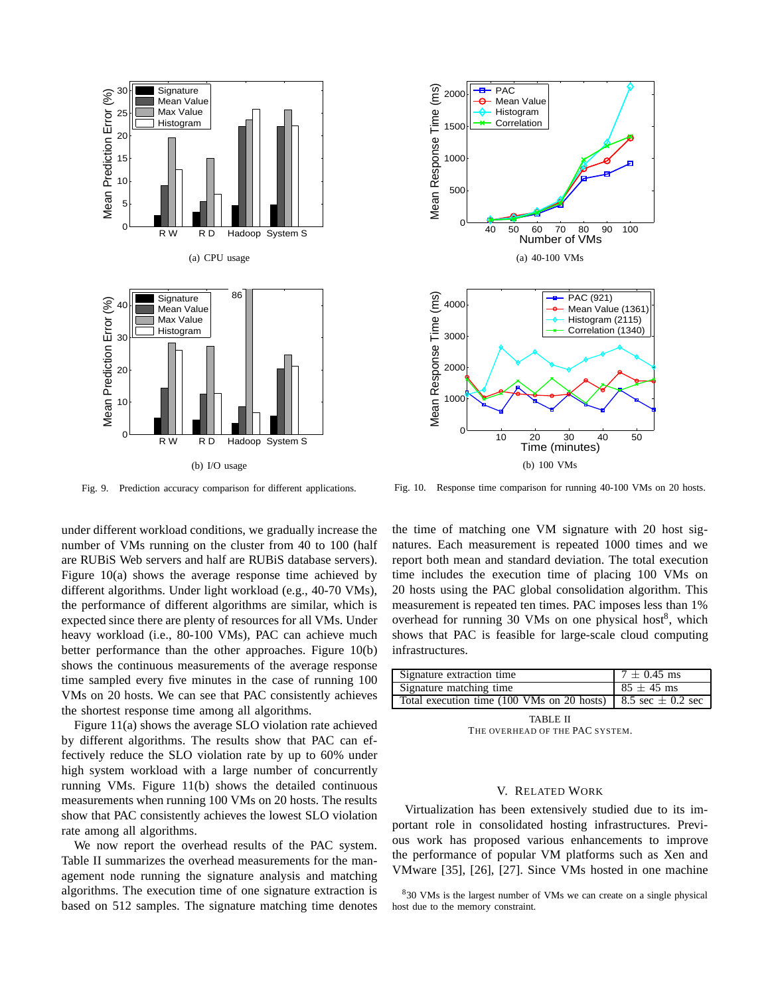

Fig. 9. Prediction accuracy comparison for different applications.

under different workload conditions, we gradually increase the number of VMs running on the cluster from 40 to 100 (half are RUBiS Web servers and half are RUBiS database servers). Figure 10(a) shows the average response time achieved by different algorithms. Under light workload (e.g., 40-70 VMs), the performance of different algorithms are similar, which is expected since there are plenty of resources for all VMs. Under heavy workload (i.e., 80-100 VMs), PAC can achieve much better performance than the other approaches. Figure 10(b) shows the continuous measurements of the average response time sampled every five minutes in the case of running 100 VMs on 20 hosts. We can see that PAC consistently achieves the shortest response time among all algorithms.

Figure 11(a) shows the average SLO violation rate achieved by different algorithms. The results show that PAC can effectively reduce the SLO violation rate by up to 60% under high system workload with a large number of concurrently running VMs. Figure 11(b) shows the detailed continuous measurements when running 100 VMs on 20 hosts. The results show that PAC consistently achieves the lowest SLO violation rate among all algorithms.

We now report the overhead results of the PAC system. Table II summarizes the overhead measurements for the management node running the signature analysis and matching algorithms. The execution time of one signature extraction is based on 512 samples. The signature matching time denotes



Fig. 10. Response time comparison for running 40-100 VMs on 20 hosts.

the time of matching one VM signature with 20 host signatures. Each measurement is repeated 1000 times and we report both mean and standard deviation. The total execution time includes the execution time of placing 100 VMs on 20 hosts using the PAC global consolidation algorithm. This measurement is repeated ten times. PAC imposes less than 1% overhead for running 30 VMs on one physical host<sup>8</sup>, which shows that PAC is feasible for large-scale cloud computing infrastructures.

| Signature extraction time                                          | $7 \pm 0.45$ ms |
|--------------------------------------------------------------------|-----------------|
| Signature matching time                                            | $85 \pm 45$ ms  |
| Total execution time (100 VMs on 20 hosts)   8.5 sec $\pm$ 0.2 sec |                 |

TABLE II THE OVERHEAD OF THE PAC SYSTEM.

#### V. RELATED WORK

Virtualization has been extensively studied due to its important role in consolidated hosting infrastructures. Previous work has proposed various enhancements to improve the performance of popular VM platforms such as Xen and VMware [35], [26], [27]. Since VMs hosted in one machine

<sup>8</sup>30 VMs is the largest number of VMs we can create on a single physical host due to the memory constraint.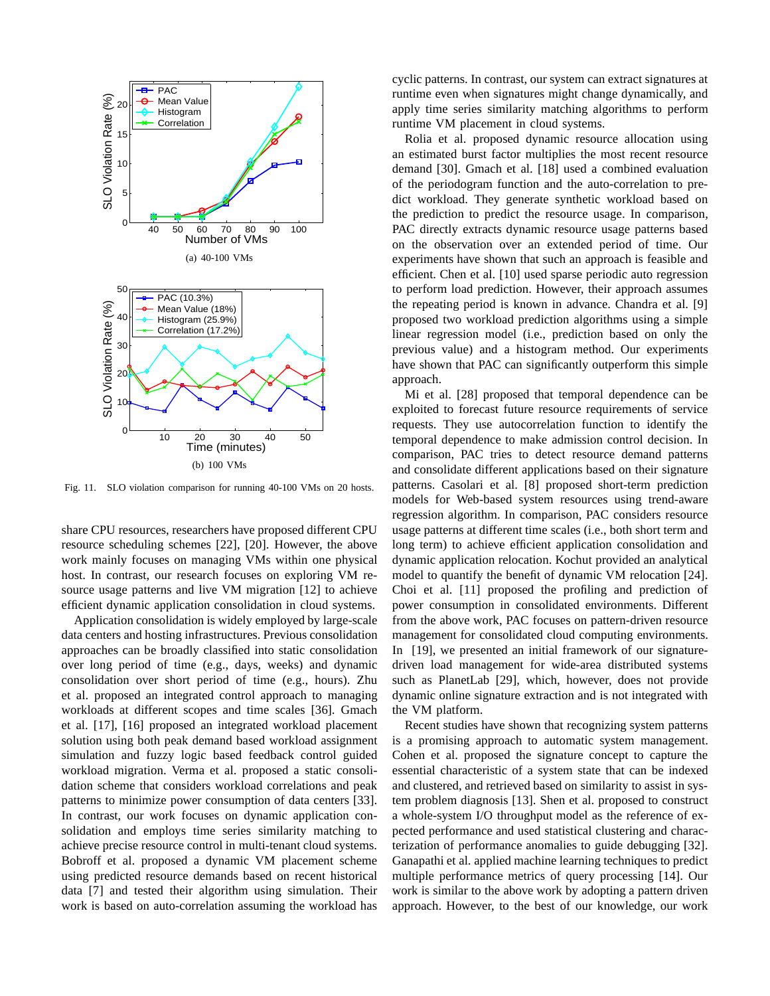

Fig. 11. SLO violation comparison for running 40-100 VMs on 20 hosts.

share CPU resources, researchers have proposed different CPU resource scheduling schemes [22], [20]. However, the above work mainly focuses on managing VMs within one physical host. In contrast, our research focuses on exploring VM resource usage patterns and live VM migration [12] to achieve efficient dynamic application consolidation in cloud systems.

Application consolidation is widely employed by large-scale data centers and hosting infrastructures. Previous consolidation approaches can be broadly classified into static consolidation over long period of time (e.g., days, weeks) and dynamic consolidation over short period of time (e.g., hours). Zhu et al. proposed an integrated control approach to managing workloads at different scopes and time scales [36]. Gmach et al. [17], [16] proposed an integrated workload placement solution using both peak demand based workload assignment simulation and fuzzy logic based feedback control guided workload migration. Verma et al. proposed a static consolidation scheme that considers workload correlations and peak patterns to minimize power consumption of data centers [33]. In contrast, our work focuses on dynamic application consolidation and employs time series similarity matching to achieve precise resource control in multi-tenant cloud systems. Bobroff et al. proposed a dynamic VM placement scheme using predicted resource demands based on recent historical data [7] and tested their algorithm using simulation. Their work is based on auto-correlation assuming the workload has

cyclic patterns. In contrast, our system can extract signatures at runtime even when signatures might change dynamically, and apply time series similarity matching algorithms to perform runtime VM placement in cloud systems.

Rolia et al. proposed dynamic resource allocation using an estimated burst factor multiplies the most recent resource demand [30]. Gmach et al. [18] used a combined evaluation of the periodogram function and the auto-correlation to predict workload. They generate synthetic workload based on the prediction to predict the resource usage. In comparison, PAC directly extracts dynamic resource usage patterns based on the observation over an extended period of time. Our experiments have shown that such an approach is feasible and efficient. Chen et al. [10] used sparse periodic auto regression to perform load prediction. However, their approach assumes the repeating period is known in advance. Chandra et al. [9] proposed two workload prediction algorithms using a simple linear regression model (i.e., prediction based on only the previous value) and a histogram method. Our experiments have shown that PAC can significantly outperform this simple approach.

Mi et al. [28] proposed that temporal dependence can be exploited to forecast future resource requirements of service requests. They use autocorrelation function to identify the temporal dependence to make admission control decision. In comparison, PAC tries to detect resource demand patterns and consolidate different applications based on their signature patterns. Casolari et al. [8] proposed short-term prediction models for Web-based system resources using trend-aware regression algorithm. In comparison, PAC considers resource usage patterns at different time scales (i.e., both short term and long term) to achieve efficient application consolidation and dynamic application relocation. Kochut provided an analytical model to quantify the benefit of dynamic VM relocation [24]. Choi et al. [11] proposed the profiling and prediction of power consumption in consolidated environments. Different from the above work, PAC focuses on pattern-driven resource management for consolidated cloud computing environments. In [19], we presented an initial framework of our signaturedriven load management for wide-area distributed systems such as PlanetLab [29], which, however, does not provide dynamic online signature extraction and is not integrated with the VM platform.

Recent studies have shown that recognizing system patterns is a promising approach to automatic system management. Cohen et al. proposed the signature concept to capture the essential characteristic of a system state that can be indexed and clustered, and retrieved based on similarity to assist in system problem diagnosis [13]. Shen et al. proposed to construct a whole-system I/O throughput model as the reference of expected performance and used statistical clustering and characterization of performance anomalies to guide debugging [32]. Ganapathi et al. applied machine learning techniques to predict multiple performance metrics of query processing [14]. Our work is similar to the above work by adopting a pattern driven approach. However, to the best of our knowledge, our work